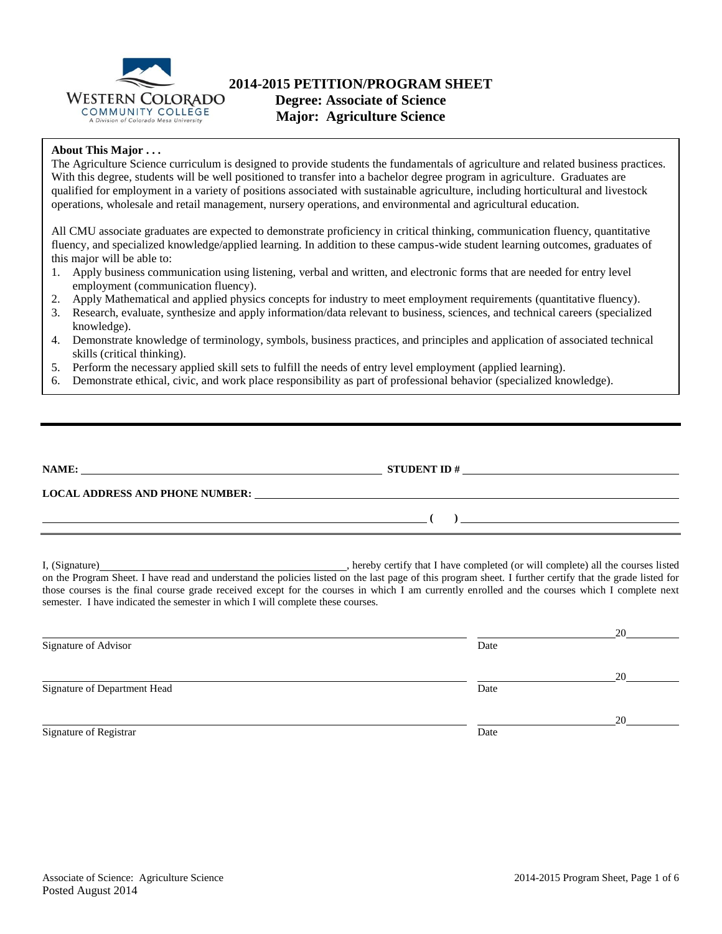

### **2014-2015 PETITION/PROGRAM SHEET Degree: Associate of Science**

**Major: Agriculture Science**

### **About This Major . . .**

The Agriculture Science curriculum is designed to provide students the fundamentals of agriculture and related business practices. With this degree, students will be well positioned to transfer into a bachelor degree program in agriculture. Graduates are qualified for employment in a variety of positions associated with sustainable agriculture, including horticultural and livestock operations, wholesale and retail management, nursery operations, and environmental and agricultural education.

All CMU associate graduates are expected to demonstrate proficiency in critical thinking, communication fluency, quantitative fluency, and specialized knowledge/applied learning. In addition to these campus-wide student learning outcomes, graduates of this major will be able to:

- 1. Apply business communication using listening, verbal and written, and electronic forms that are needed for entry level employment (communication fluency).
- 2. Apply Mathematical and applied physics concepts for industry to meet employment requirements (quantitative fluency).
- 3. Research, evaluate, synthesize and apply information/data relevant to business, sciences, and technical careers (specialized knowledge).
- 4. Demonstrate knowledge of terminology, symbols, business practices, and principles and application of associated technical skills (critical thinking).
- 5. Perform the necessary applied skill sets to fulfill the needs of entry level employment (applied learning).
- 6. Demonstrate ethical, civic, and work place responsibility as part of professional behavior (specialized knowledge).

| NAME:                                  | <b>STUDENT ID#</b> |  |
|----------------------------------------|--------------------|--|
| <b>LOCAL ADDRESS AND PHONE NUMBER:</b> |                    |  |
|                                        |                    |  |

I, (Signature) , hereby certify that I have completed (or will complete) all the courses listed on the Program Sheet. I have read and understand the policies listed on the last page of this program sheet. I further certify that the grade listed for those courses is the final course grade received except for the courses in which I am currently enrolled and the courses which I complete next semester. I have indicated the semester in which I will complete these courses.

|                              |      | 20 |
|------------------------------|------|----|
| Signature of Advisor         | Date |    |
|                              |      | 20 |
| Signature of Department Head | Date |    |
|                              |      | 20 |
| Signature of Registrar       | Date |    |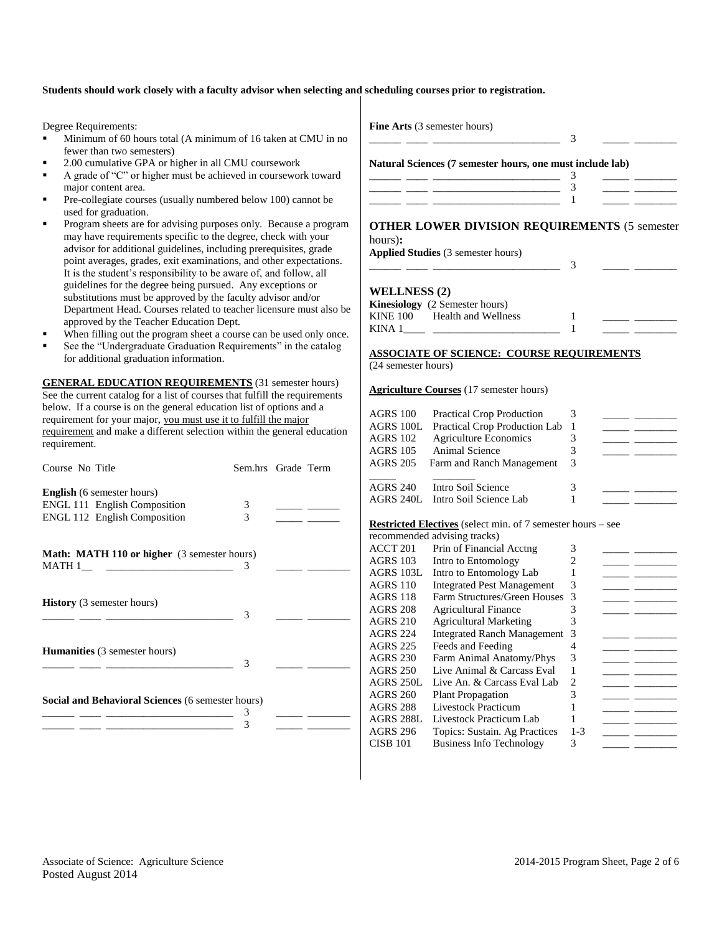#### **Students should work closely with a faculty advisor when selecting and scheduling courses prior to registration.**

Degree Requirements:

- Minimum of 60 hours total (A minimum of 16 taken at CMU in no fewer than two semesters)
- 2.00 cumulative GPA or higher in all CMU coursework
- A grade of "C" or higher must be achieved in coursework toward major content area.
- Pre-collegiate courses (usually numbered below 100) cannot be used for graduation.
- Program sheets are for advising purposes only. Because a program may have requirements specific to the degree, check with your advisor for additional guidelines, including prerequisites, grade point averages, grades, exit examinations, and other expectations. It is the student's responsibility to be aware of, and follow, all guidelines for the degree being pursued. Any exceptions or substitutions must be approved by the faculty advisor and/or Department Head. Courses related to teacher licensure must also be approved by the Teacher Education Dept.
- When filling out the program sheet a course can be used only once.
- See the "Undergraduate Graduation Requirements" in the catalog for additional graduation information.

**GENERAL EDUCATION REQUIREMENTS** (31 semester hours) See the current catalog for a list of courses that fulfill the requirements below. If a course is on the general education list of options and a requirement for your major, you must use it to fulfill the major requirement and make a different selection within the general education requirement.

| Course No Title                                                            | Sem.hrs Grade Term |  |
|----------------------------------------------------------------------------|--------------------|--|
| <b>English</b> (6 semester hours)                                          |                    |  |
| <b>ENGL 111 English Composition</b><br><b>ENGL 112 English Composition</b> | 3<br>3             |  |
| <b>Math: MATH 110 or higher</b> (3 semester hours)                         | 3                  |  |
| <b>History</b> (3 semester hours)                                          | 3                  |  |
| <b>Humanities</b> (3 semester hours)                                       | 3                  |  |
| Social and Behavioral Sciences (6 semester hours)                          | 3<br>3             |  |

**Fine Arts** (3 semester hours)

**Natural Sciences (7 semester hours, one must include lab)**

\_\_\_\_\_\_ \_\_\_\_ \_\_\_\_\_\_\_\_\_\_\_\_\_\_\_\_\_\_\_\_\_\_\_\_ 3 \_\_\_\_\_ \_\_\_\_\_\_\_\_

## **OTHER LOWER DIVISION REQUIREMENTS** (5 semester

hours)**:**

**Applied Studies** (3 semester hours) \_\_\_\_\_\_ \_\_\_\_ \_\_\_\_\_\_\_\_\_\_\_\_\_\_\_\_\_\_\_\_\_\_\_\_ 3 \_\_\_\_\_ \_\_\_\_\_\_\_\_

#### **WELLNESS (2)**

|          | <b>Kinesiology</b> (2 Semester hours) |  |  |
|----------|---------------------------------------|--|--|
| KINE 100 | Health and Wellness                   |  |  |
| KINA 1   |                                       |  |  |

#### **ASSOCIATE OF SCIENCE: COURSE REQUIREMENTS** (24 semester hours)

#### **Agriculture Courses** (17 semester hours)

| <b>AGRS 100</b><br><b>AGRS 100L</b><br><b>AGRS 102</b><br><b>AGRS 105</b><br><b>AGRS 205</b><br><b>AGRS 240</b><br>AGRS 240L | <b>Practical Crop Production</b><br>Practical Crop Production Lab<br><b>Agriculture Economics</b><br>Animal Science<br>Farm and Ranch Management<br>Intro Soil Science<br>Intro Soil Science Lab | 3<br>1<br>3<br>3<br>3<br>3<br>1 |  |
|------------------------------------------------------------------------------------------------------------------------------|--------------------------------------------------------------------------------------------------------------------------------------------------------------------------------------------------|---------------------------------|--|
|                                                                                                                              | <b>Restricted Electives</b> (select min. of 7 semester hours – see                                                                                                                               |                                 |  |
|                                                                                                                              | recommended advising tracks)                                                                                                                                                                     |                                 |  |
| ACCT <sub>201</sub>                                                                                                          | Prin of Financial Acctng                                                                                                                                                                         | 3                               |  |
| <b>AGRS 103</b>                                                                                                              | Intro to Entomology                                                                                                                                                                              | 2                               |  |
| <b>AGRS 103L</b>                                                                                                             | Intro to Entomology Lab                                                                                                                                                                          | 1                               |  |
| <b>AGRS 110</b>                                                                                                              | <b>Integrated Pest Management</b>                                                                                                                                                                | 3                               |  |
| <b>AGRS 118</b>                                                                                                              | Farm Structures/Green Houses                                                                                                                                                                     | 3                               |  |
| <b>AGRS 208</b>                                                                                                              | <b>Agricultural Finance</b>                                                                                                                                                                      | 3                               |  |
| <b>AGRS 210</b>                                                                                                              | <b>Agricultural Marketing</b>                                                                                                                                                                    | 3                               |  |
| <b>AGRS 224</b>                                                                                                              | <b>Integrated Ranch Management</b>                                                                                                                                                               | 3                               |  |
| <b>AGRS 225</b>                                                                                                              | Feeds and Feeding                                                                                                                                                                                | 4                               |  |
| <b>AGRS 230</b>                                                                                                              | Farm Animal Anatomy/Phys                                                                                                                                                                         | 3                               |  |
| <b>AGRS 250</b>                                                                                                              | Live Animal & Carcass Eval                                                                                                                                                                       | 1                               |  |
| <b>AGRS 250L</b>                                                                                                             | Live An. & Carcass Eval Lab                                                                                                                                                                      | $\overline{2}$                  |  |
| <b>AGRS 260</b>                                                                                                              | <b>Plant Propagation</b>                                                                                                                                                                         | 3                               |  |
| <b>AGRS 288</b>                                                                                                              | <b>Livestock Practicum</b>                                                                                                                                                                       | 1                               |  |
| <b>AGRS 288L</b>                                                                                                             | Livestock Practicum Lab                                                                                                                                                                          | 1                               |  |
| <b>AGRS 296</b>                                                                                                              | Topics: Sustain. Ag Practices                                                                                                                                                                    | $1 - 3$                         |  |
| <b>CISB 101</b>                                                                                                              | <b>Business Info Technology</b>                                                                                                                                                                  | 3                               |  |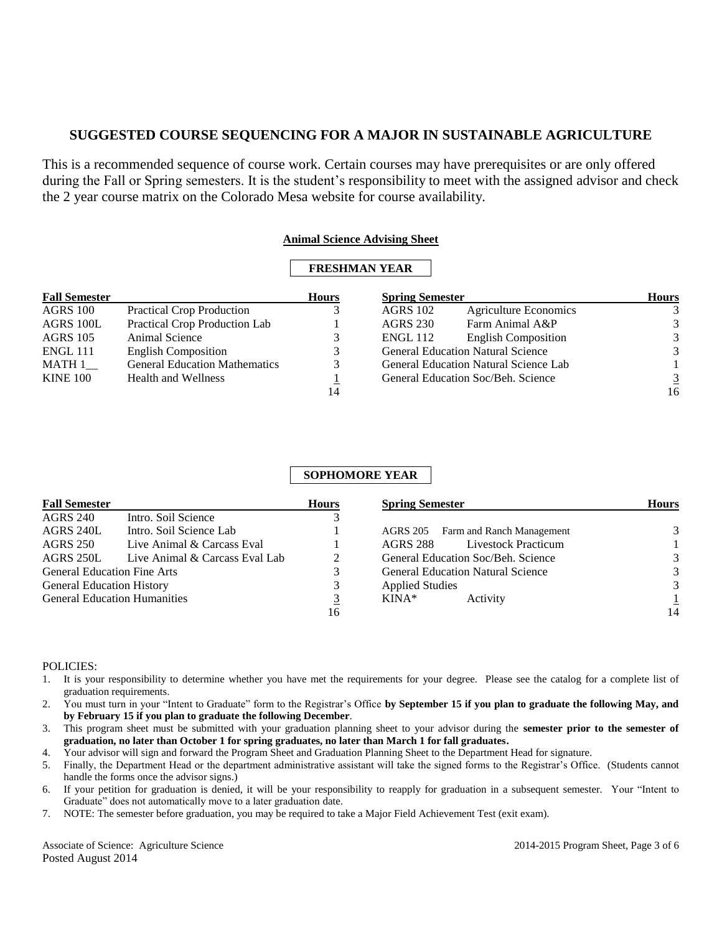This is a recommended sequence of course work. Certain courses may have prerequisites or are only offered during the Fall or Spring semesters. It is the student's responsibility to meet with the assigned advisor and check the 2 year course matrix on the Colorado Mesa website for course availability.

### **Animal Science Advising Sheet**

### **FRESHMAN YEAR**

| <b>Fall Semester</b> |                                      | <b>Hours</b> | <b>Spring Semester</b> |                                              | <b>Hours</b>   |
|----------------------|--------------------------------------|--------------|------------------------|----------------------------------------------|----------------|
| AGRS 100             | <b>Practical Crop Production</b>     |              | <b>AGRS 102</b>        | <b>Agriculture Economics</b>                 | 3              |
| AGRS 100L            | Practical Crop Production Lab        |              | <b>AGRS 230</b>        | Farm Animal A&P                              | 3              |
| <b>AGRS</b> 105      | Animal Science                       |              | <b>ENGL 112</b>        | <b>English Composition</b>                   | 3              |
| <b>ENGL 111</b>      | <b>English Composition</b>           |              |                        | <b>General Education Natural Science</b>     | 3              |
| MATH 1               | <b>General Education Mathematics</b> |              |                        | <b>General Education Natural Science Lab</b> |                |
| <b>KINE 100</b>      | <b>Health and Wellness</b>           |              |                        | General Education Soc/Beh. Science           | $\overline{3}$ |
|                      |                                      | 14           |                        |                                              | 16             |

# **SOPHOMORE YEAR**

| <b>Fall Semester</b>                |                                | <b>Hours</b> | <b>Spring Semester</b>                   | <b>Hours</b> |
|-------------------------------------|--------------------------------|--------------|------------------------------------------|--------------|
| <b>AGRS 240</b>                     | Intro. Soil Science            |              |                                          |              |
| AGRS 240L                           | Intro. Soil Science Lab        |              | AGRS 205 Farm and Ranch Management       | 3            |
| <b>AGRS 250</b>                     | Live Animal & Carcass Eval     |              | <b>Livestock Practicum</b><br>AGRS 288   |              |
| AGRS 250L                           | Live Animal & Carcass Eval Lab | 2            | General Education Soc/Beh. Science       | 3            |
| <b>General Education Fine Arts</b>  |                                | 3            | <b>General Education Natural Science</b> | 3            |
| <b>General Education History</b>    |                                | 3            | <b>Applied Studies</b>                   | 3            |
| <b>General Education Humanities</b> |                                | <u>3</u>     | KINA*<br>Activity                        |              |
|                                     |                                | 16           |                                          | 14           |

### POLICIES:

- 1. It is your responsibility to determine whether you have met the requirements for your degree. Please see the catalog for a complete list of graduation requirements.
- 2. You must turn in your "Intent to Graduate" form to the Registrar's Office **by September 15 if you plan to graduate the following May, and by February 15 if you plan to graduate the following December**.
- 3. This program sheet must be submitted with your graduation planning sheet to your advisor during the **semester prior to the semester of graduation, no later than October 1 for spring graduates, no later than March 1 for fall graduates.**
- 4. Your advisor will sign and forward the Program Sheet and Graduation Planning Sheet to the Department Head for signature.
- 5. Finally, the Department Head or the department administrative assistant will take the signed forms to the Registrar's Office. (Students cannot handle the forms once the advisor signs.)
- 6. If your petition for graduation is denied, it will be your responsibility to reapply for graduation in a subsequent semester. Your "Intent to Graduate" does not automatically move to a later graduation date.
- 7. NOTE: The semester before graduation, you may be required to take a Major Field Achievement Test (exit exam).

Associate of Science: Agriculture Science 2014-2015 Program Sheet, Page 3 of 6 Posted August 2014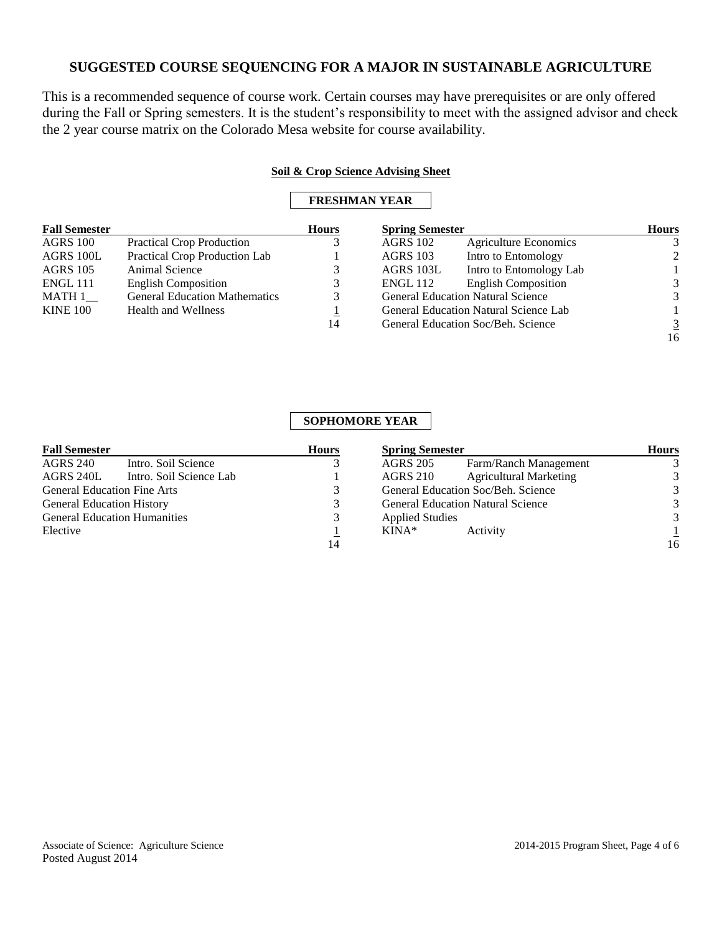This is a recommended sequence of course work. Certain courses may have prerequisites or are only offered during the Fall or Spring semesters. It is the student's responsibility to meet with the assigned advisor and check the 2 year course matrix on the Colorado Mesa website for course availability.

#### **Soil & Crop Science Advising Sheet**

### **FRESHMAN YEAR**

| <b>Fall Semester</b> |                                      | <b>Hours</b> |                 | <b>Spring Semester</b>                       |                |
|----------------------|--------------------------------------|--------------|-----------------|----------------------------------------------|----------------|
| AGRS 100             | <b>Practical Crop Production</b>     |              | <b>AGRS 102</b> | <b>Agriculture Economics</b>                 |                |
| AGRS 100L            | Practical Crop Production Lab        |              | <b>AGRS</b> 103 | Intro to Entomology                          | 2              |
| <b>AGRS</b> 105      | Animal Science                       |              | AGRS 103L       | Intro to Entomology Lab                      |                |
| ENGL 111             | <b>English Composition</b>           |              | ENGL 112        | <b>English Composition</b>                   | 3              |
| MATH 1               | <b>General Education Mathematics</b> | 3            |                 | <b>General Education Natural Science</b>     | 3              |
| <b>KINE 100</b>      | <b>Health and Wellness</b>           |              |                 | <b>General Education Natural Science Lab</b> |                |
|                      |                                      | 14           |                 | General Education Soc/Beh. Science           | $\overline{3}$ |
|                      |                                      |              |                 |                                              | 16             |

### **SOPHOMORE YEAR**

| <b>Fall Semester</b>                |                         | <b>Hours</b> | <b>Spring Semester</b> |                                          | <b>Hours</b>  |
|-------------------------------------|-------------------------|--------------|------------------------|------------------------------------------|---------------|
| <b>AGRS 240</b>                     | Intro. Soil Science     |              | <b>AGRS 205</b>        | Farm/Ranch Management                    |               |
| AGRS 240L                           | Intro. Soil Science Lab |              | <b>AGRS 210</b>        | <b>Agricultural Marketing</b>            | 3             |
| <b>General Education Fine Arts</b>  |                         |              |                        | General Education Soc/Beh. Science       |               |
| <b>General Education History</b>    |                         | 3            |                        | <b>General Education Natural Science</b> | 3             |
| <b>General Education Humanities</b> |                         | 3            | <b>Applied Studies</b> |                                          | $\mathcal{E}$ |
| Elective                            |                         |              | $KINA*$                | Activity                                 |               |
|                                     |                         | 14           |                        |                                          | 16            |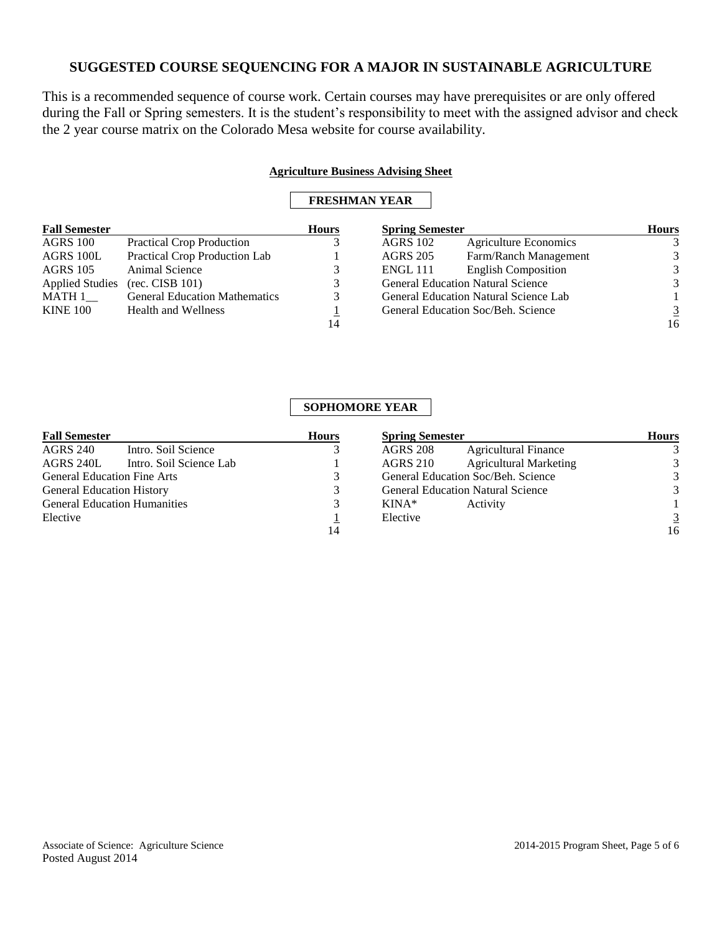This is a recommended sequence of course work. Certain courses may have prerequisites or are only offered during the Fall or Spring semesters. It is the student's responsibility to meet with the assigned advisor and check the 2 year course matrix on the Colorado Mesa website for course availability.

### **Agriculture Business Advising Sheet**

## **FRESHMAN YEAR**

| <b>Fall Semester</b>   |                                      | <b>Hours</b> | <b>Spring Semester</b> |                                              | <b>Hours</b>   |
|------------------------|--------------------------------------|--------------|------------------------|----------------------------------------------|----------------|
| AGRS 100               | <b>Practical Crop Production</b>     |              | <b>AGRS</b> 102        | <b>Agriculture Economics</b>                 |                |
| AGRS 100L              | Practical Crop Production Lab        |              | <b>AGRS 205</b>        | Farm/Ranch Management                        | 3              |
| <b>AGRS 105</b>        | Animal Science                       |              | <b>ENGL 111</b>        | <b>English Composition</b>                   | 3              |
| <b>Applied Studies</b> | (rec. CISB 101)                      |              |                        | <b>General Education Natural Science</b>     | 3              |
| MATH 1                 | <b>General Education Mathematics</b> |              |                        | <b>General Education Natural Science Lab</b> |                |
| <b>KINE 100</b>        | <b>Health and Wellness</b>           |              |                        | General Education Soc/Beh. Science           | $\overline{3}$ |
|                        |                                      | 14           |                        |                                              | 16             |

## **SOPHOMORE YEAR**

| <b>Hours</b> | <b>Spring Semester</b>                           | <b>Hours</b> |
|--------------|--------------------------------------------------|--------------|
|              | <b>Agricultural Finance</b><br><b>AGRS 208</b>   | 3            |
|              | <b>Agricultural Marketing</b><br><b>AGRS 210</b> | 3            |
|              | General Education Soc/Beh. Science               | 3            |
|              | <b>General Education Natural Science</b>         | 3            |
|              | $KINA*$<br>Activity                              |              |
|              | Elective                                         | 3            |
| 14           |                                                  | 16           |
|              |                                                  |              |